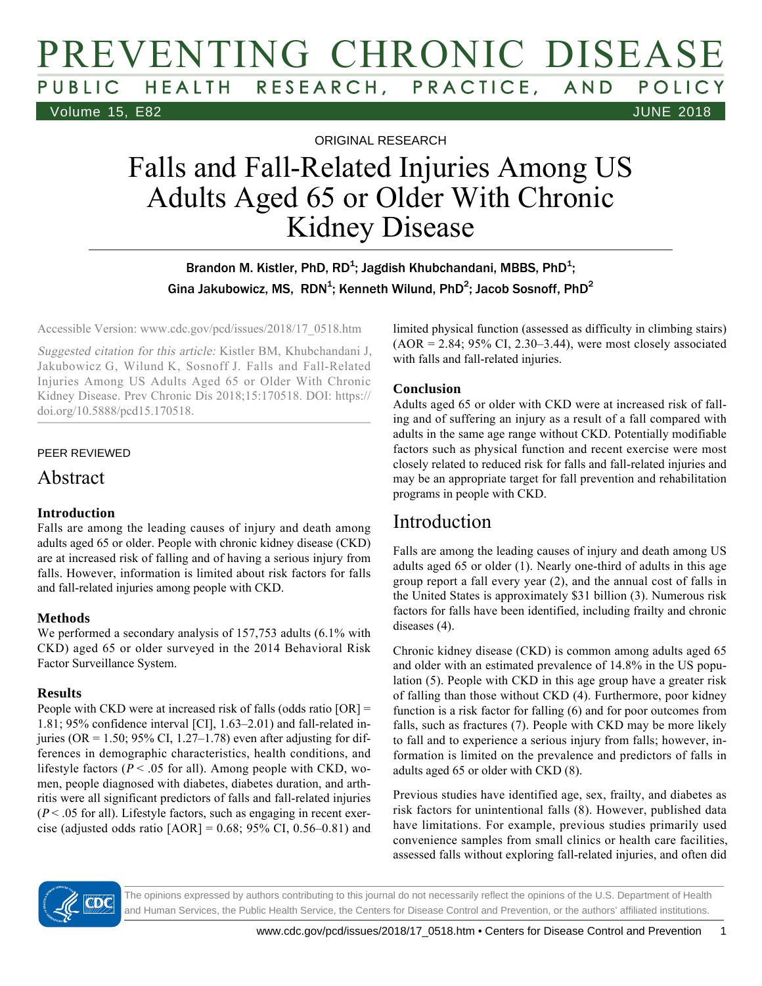# PREVENTING CHRONIC DISEASE PUBLIC HEALTH RESEARCH, PRACTICE, AND POLICY Volume 15, E82 JUNE 2018

ORIGINAL RESEARCH

# Falls and Fall-Related Injuries Among US Adults Aged 65 or Older With Chronic Kidney Disease

Brandon M. Kistler, PhD, RD<sup>1</sup>; Jagdish Khubchandani, MBBS, PhD<sup>1</sup>; Gina Jakubowicz, MS,  $RDN^1$ ; Kenneth Wilund, PhD<sup>2</sup>; Jacob Sosnoff, PhD<sup>2</sup>

Accessible Version: www.cdc.gov/pcd/issues/2018/17\_0518.htm

Suggested citation for this article: Kistler BM, Khubchandani J, Jakubowicz G, Wilund K, Sosnoff J. Falls and Fall-Related Injuries Among US Adults Aged 65 or Older With Chronic Kidney Disease. Prev Chronic Dis 2018;15:170518. DOI: https:// doi.org/10.5888/pcd15.170518.

#### PEER REVIEWED

### Abstract

#### **Introduction**

Falls are among the leading causes of injury and death among adults aged 65 or older. People with chronic kidney disease (CKD) are at increased risk of falling and of having a serious injury from falls. However, information is limited about risk factors for falls and fall-related injuries among people with CKD.

#### **Methods**

We performed a secondary analysis of 157,753 adults (6.1% with CKD) aged 65 or older surveyed in the 2014 Behavioral Risk Factor Surveillance System.

#### **Results**

People with CKD were at increased risk of falls (odds ratio [OR] = 1.81; 95% confidence interval [CI], 1.63–2.01) and fall-related injuries (OR = 1.50; 95% CI, 1.27–1.78) even after adjusting for differences in demographic characteristics, health conditions, and lifestyle factors ( $P < .05$  for all). Among people with CKD, women, people diagnosed with diabetes, diabetes duration, and arthritis were all significant predictors of falls and fall-related injuries  $(P < .05$  for all). Lifestyle factors, such as engaging in recent exercise (adjusted odds ratio  $[AOR] = 0.68$ ; 95% CI, 0.56–0.81) and limited physical function (assessed as difficulty in climbing stairs)  $(AOR = 2.84; 95\% \text{ CI}, 2.30-3.44)$ , were most closely associated with falls and fall-related injuries.

#### **Conclusion**

Adults aged 65 or older with CKD were at increased risk of falling and of suffering an injury as a result of a fall compared with adults in the same age range without CKD. Potentially modifiable factors such as physical function and recent exercise were most closely related to reduced risk for falls and fall-related injuries and may be an appropriate target for fall prevention and rehabilitation programs in people with CKD.

### **Introduction**

Falls are among the leading causes of injury and death among US adults aged 65 or older (1). Nearly one-third of adults in this age group report a fall every year (2), and the annual cost of falls in the United States is approximately \$31 billion (3). Numerous risk factors for falls have been identified, including frailty and chronic diseases (4).

Chronic kidney disease (CKD) is common among adults aged 65 and older with an estimated prevalence of 14.8% in the US population (5). People with CKD in this age group have a greater risk of falling than those without CKD (4). Furthermore, poor kidney function is a risk factor for falling (6) and for poor outcomes from falls, such as fractures (7). People with CKD may be more likely to fall and to experience a serious injury from falls; however, information is limited on the prevalence and predictors of falls in adults aged 65 or older with CKD (8).

Previous studies have identified age, sex, frailty, and diabetes as risk factors for unintentional falls (8). However, published data have limitations. For example, previous studies primarily used convenience samples from small clinics or health care facilities, assessed falls without exploring fall-related injuries, and often did

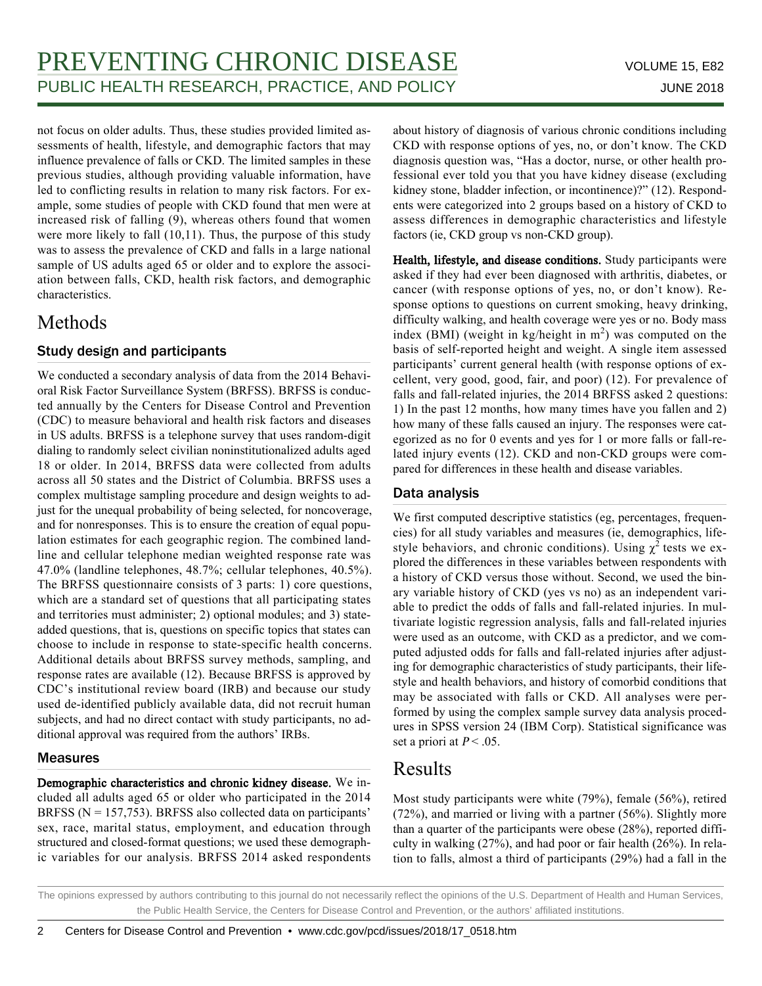not focus on older adults. Thus, these studies provided limited assessments of health, lifestyle, and demographic factors that may influence prevalence of falls or CKD. The limited samples in these previous studies, although providing valuable information, have led to conflicting results in relation to many risk factors. For example, some studies of people with CKD found that men were at increased risk of falling (9), whereas others found that women were more likely to fall (10,11). Thus, the purpose of this study was to assess the prevalence of CKD and falls in a large national sample of US adults aged 65 or older and to explore the association between falls, CKD, health risk factors, and demographic characteristics.

### Methods

### Study design and participants

We conducted a secondary analysis of data from the 2014 Behavioral Risk Factor Surveillance System (BRFSS). BRFSS is conducted annually by the Centers for Disease Control and Prevention (CDC) to measure behavioral and health risk factors and diseases in US adults. BRFSS is a telephone survey that uses random-digit dialing to randomly select civilian noninstitutionalized adults aged 18 or older. In 2014, BRFSS data were collected from adults across all 50 states and the District of Columbia. BRFSS uses a complex multistage sampling procedure and design weights to adjust for the unequal probability of being selected, for noncoverage, and for nonresponses. This is to ensure the creation of equal population estimates for each geographic region. The combined landline and cellular telephone median weighted response rate was 47.0% (landline telephones, 48.7%; cellular telephones, 40.5%). The BRFSS questionnaire consists of 3 parts: 1) core questions, which are a standard set of questions that all participating states and territories must administer; 2) optional modules; and 3) stateadded questions, that is, questions on specific topics that states can choose to include in response to state-specific health concerns. Additional details about BRFSS survey methods, sampling, and response rates are available (12). Because BRFSS is approved by CDC's institutional review board (IRB) and because our study used de-identified publicly available data, did not recruit human subjects, and had no direct contact with study participants, no additional approval was required from the authors' IRBs.

#### **Measures**

Demographic characteristics and chronic kidney disease. We included all adults aged 65 or older who participated in the 2014 BRFSS ( $N = 157,753$ ). BRFSS also collected data on participants' sex, race, marital status, employment, and education through structured and closed-format questions; we used these demographic variables for our analysis. BRFSS 2014 asked respondents about history of diagnosis of various chronic conditions including CKD with response options of yes, no, or don't know. The CKD diagnosis question was, "Has a doctor, nurse, or other health professional ever told you that you have kidney disease (excluding kidney stone, bladder infection, or incontinence)?" (12). Respondents were categorized into 2 groups based on a history of CKD to assess differences in demographic characteristics and lifestyle factors (ie, CKD group vs non-CKD group).

Health, lifestyle, and disease conditions. Study participants were asked if they had ever been diagnosed with arthritis, diabetes, or cancer (with response options of yes, no, or don't know). Response options to questions on current smoking, heavy drinking, difficulty walking, and health coverage were yes or no. Body mass index (BMI) (weight in kg/height in  $m<sup>2</sup>$ ) was computed on the basis of self-reported height and weight. A single item assessed participants' current general health (with response options of excellent, very good, good, fair, and poor) (12). For prevalence of falls and fall-related injuries, the 2014 BRFSS asked 2 questions: 1) In the past 12 months, how many times have you fallen and 2) how many of these falls caused an injury. The responses were categorized as no for 0 events and yes for 1 or more falls or fall-related injury events (12). CKD and non-CKD groups were compared for differences in these health and disease variables.

### Data analysis

We first computed descriptive statistics (eg, percentages, frequencies) for all study variables and measures (ie, demographics, lifestyle behaviors, and chronic conditions). Using  $\chi^2$  tests we explored the differences in these variables between respondents with a history of CKD versus those without. Second, we used the binary variable history of CKD (yes vs no) as an independent variable to predict the odds of falls and fall-related injuries. In multivariate logistic regression analysis, falls and fall-related injuries were used as an outcome, with CKD as a predictor, and we computed adjusted odds for falls and fall-related injuries after adjusting for demographic characteristics of study participants, their lifestyle and health behaviors, and history of comorbid conditions that may be associated with falls or CKD. All analyses were performed by using the complex sample survey data analysis procedures in SPSS version 24 (IBM Corp). Statistical significance was set a priori at  $P < .05$ .

### Results

Most study participants were white (79%), female (56%), retired (72%), and married or living with a partner (56%). Slightly more than a quarter of the participants were obese (28%), reported difficulty in walking (27%), and had poor or fair health (26%). In relation to falls, almost a third of participants (29%) had a fall in the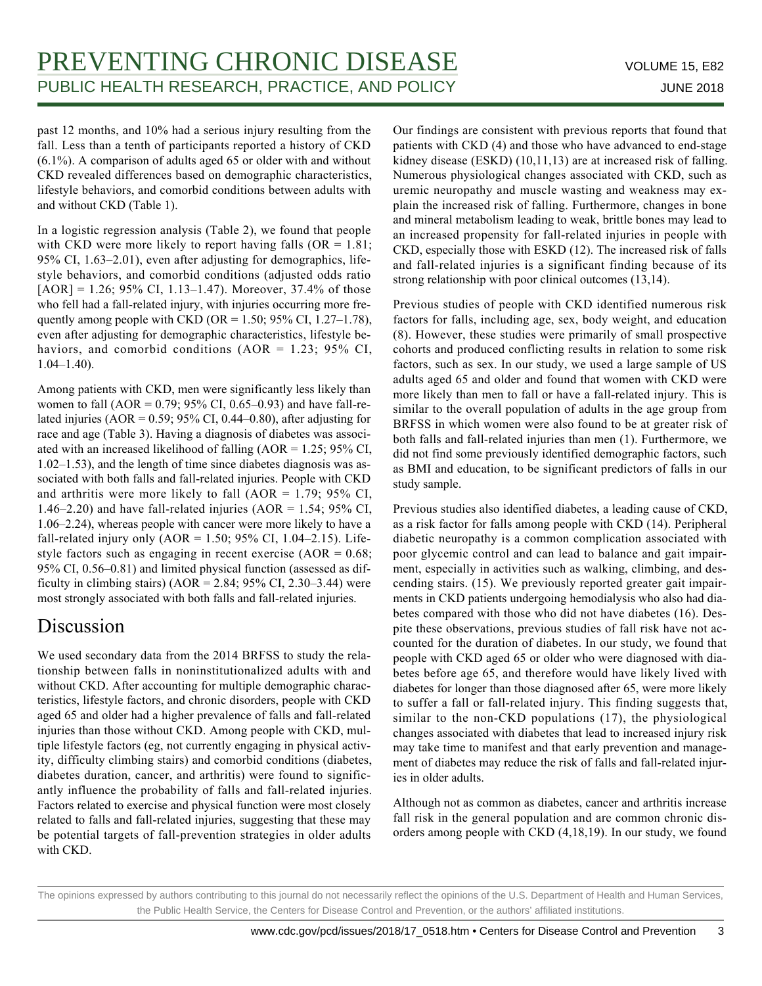past 12 months, and 10% had a serious injury resulting from the fall. Less than a tenth of participants reported a history of CKD (6.1%). A comparison of adults aged 65 or older with and without CKD revealed differences based on demographic characteristics, lifestyle behaviors, and comorbid conditions between adults with and without CKD (Table 1).

In a logistic regression analysis (Table 2), we found that people with CKD were more likely to report having falls ( $OR = 1.81$ ; 95% CI, 1.63–2.01), even after adjusting for demographics, lifestyle behaviors, and comorbid conditions (adjusted odds ratio  $[AOR] = 1.26$ ; 95% CI, 1.13–1.47). Moreover, 37.4% of those who fell had a fall-related injury, with injuries occurring more frequently among people with CKD (OR =  $1.50$ ; 95% CI, 1.27-1.78), even after adjusting for demographic characteristics, lifestyle behaviors, and comorbid conditions (AOR = 1.23; 95% CI, 1.04–1.40).

Among patients with CKD, men were significantly less likely than women to fall (AOR =  $0.79$ ; 95% CI, 0.65–0.93) and have fall-related injuries (AOR =  $0.59$ ;  $95\%$  CI,  $0.44-0.80$ ), after adjusting for race and age (Table 3). Having a diagnosis of diabetes was associated with an increased likelihood of falling (AOR = 1.25; 95% CI, 1.02–1.53), and the length of time since diabetes diagnosis was associated with both falls and fall-related injuries. People with CKD and arthritis were more likely to fall  $(AOR = 1.79; 95\% \text{ CI},$ 1.46–2.20) and have fall-related injuries (AOR =  $1.54$ ; 95% CI, 1.06–2.24), whereas people with cancer were more likely to have a fall-related injury only (AOR = 1.50; 95% CI, 1.04–2.15). Lifestyle factors such as engaging in recent exercise  $(AOR = 0.68)$ ; 95% CI, 0.56–0.81) and limited physical function (assessed as difficulty in climbing stairs)  $(AOR = 2.84; 95\% \text{ CI}, 2.30-3.44)$  were most strongly associated with both falls and fall-related injuries.

### Discussion

We used secondary data from the 2014 BRFSS to study the relationship between falls in noninstitutionalized adults with and without CKD. After accounting for multiple demographic characteristics, lifestyle factors, and chronic disorders, people with CKD aged 65 and older had a higher prevalence of falls and fall-related injuries than those without CKD. Among people with CKD, multiple lifestyle factors (eg, not currently engaging in physical activity, difficulty climbing stairs) and comorbid conditions (diabetes, diabetes duration, cancer, and arthritis) were found to significantly influence the probability of falls and fall-related injuries. Factors related to exercise and physical function were most closely related to falls and fall-related injuries, suggesting that these may be potential targets of fall-prevention strategies in older adults with CKD.

Our findings are consistent with previous reports that found that patients with CKD (4) and those who have advanced to end-stage kidney disease (ESKD) (10,11,13) are at increased risk of falling. Numerous physiological changes associated with CKD, such as uremic neuropathy and muscle wasting and weakness may explain the increased risk of falling. Furthermore, changes in bone and mineral metabolism leading to weak, brittle bones may lead to an increased propensity for fall-related injuries in people with CKD, especially those with ESKD (12). The increased risk of falls and fall-related injuries is a significant finding because of its strong relationship with poor clinical outcomes (13,14).

Previous studies of people with CKD identified numerous risk factors for falls, including age, sex, body weight, and education (8). However, these studies were primarily of small prospective cohorts and produced conflicting results in relation to some risk factors, such as sex. In our study, we used a large sample of US adults aged 65 and older and found that women with CKD were more likely than men to fall or have a fall-related injury. This is similar to the overall population of adults in the age group from BRFSS in which women were also found to be at greater risk of both falls and fall-related injuries than men (1). Furthermore, we did not find some previously identified demographic factors, such as BMI and education, to be significant predictors of falls in our study sample.

Previous studies also identified diabetes, a leading cause of CKD, as a risk factor for falls among people with CKD (14). Peripheral diabetic neuropathy is a common complication associated with poor glycemic control and can lead to balance and gait impairment, especially in activities such as walking, climbing, and descending stairs. (15). We previously reported greater gait impairments in CKD patients undergoing hemodialysis who also had diabetes compared with those who did not have diabetes (16). Despite these observations, previous studies of fall risk have not accounted for the duration of diabetes. In our study, we found that people with CKD aged 65 or older who were diagnosed with diabetes before age 65, and therefore would have likely lived with diabetes for longer than those diagnosed after 65, were more likely to suffer a fall or fall-related injury. This finding suggests that, similar to the non-CKD populations (17), the physiological changes associated with diabetes that lead to increased injury risk may take time to manifest and that early prevention and management of diabetes may reduce the risk of falls and fall-related injuries in older adults.

Although not as common as diabetes, cancer and arthritis increase fall risk in the general population and are common chronic disorders among people with CKD (4,18,19). In our study, we found

The opinions expressed by authors contributing to this journal do not necessarily reflect the opinions of the U.S. Department of Health and Human Services, the Public Health Service, the Centers for Disease Control and Prevention, or the authors' affiliated institutions.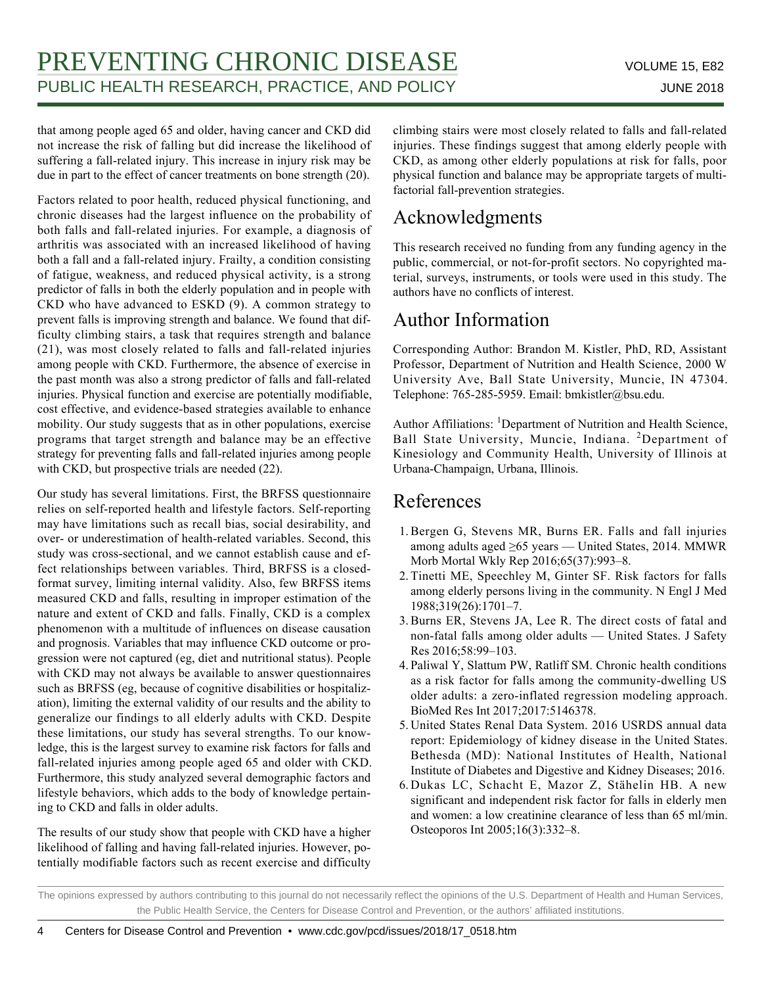that among people aged 65 and older, having cancer and CKD did not increase the risk of falling but did increase the likelihood of suffering a fall-related injury. This increase in injury risk may be due in part to the effect of cancer treatments on bone strength (20).

Factors related to poor health, reduced physical functioning, and chronic diseases had the largest influence on the probability of both falls and fall-related injuries. For example, a diagnosis of arthritis was associated with an increased likelihood of having both a fall and a fall-related injury. Frailty, a condition consisting of fatigue, weakness, and reduced physical activity, is a strong predictor of falls in both the elderly population and in people with CKD who have advanced to ESKD (9). A common strategy to prevent falls is improving strength and balance. We found that difficulty climbing stairs, a task that requires strength and balance (21), was most closely related to falls and fall-related injuries among people with CKD. Furthermore, the absence of exercise in the past month was also a strong predictor of falls and fall-related injuries. Physical function and exercise are potentially modifiable, cost effective, and evidence-based strategies available to enhance mobility. Our study suggests that as in other populations, exercise programs that target strength and balance may be an effective strategy for preventing falls and fall-related injuries among people with CKD, but prospective trials are needed (22).

Our study has several limitations. First, the BRFSS questionnaire relies on self-reported health and lifestyle factors. Self-reporting may have limitations such as recall bias, social desirability, and over- or underestimation of health-related variables. Second, this study was cross-sectional, and we cannot establish cause and effect relationships between variables. Third, BRFSS is a closedformat survey, limiting internal validity. Also, few BRFSS items measured CKD and falls, resulting in improper estimation of the nature and extent of CKD and falls. Finally, CKD is a complex phenomenon with a multitude of influences on disease causation and prognosis. Variables that may influence CKD outcome or progression were not captured (eg, diet and nutritional status). People with CKD may not always be available to answer questionnaires such as BRFSS (eg, because of cognitive disabilities or hospitalization), limiting the external validity of our results and the ability to generalize our findings to all elderly adults with CKD. Despite these limitations, our study has several strengths. To our knowledge, this is the largest survey to examine risk factors for falls and fall-related injuries among people aged 65 and older with CKD. Furthermore, this study analyzed several demographic factors and lifestyle behaviors, which adds to the body of knowledge pertaining to CKD and falls in older adults.

The results of our study show that people with CKD have a higher likelihood of falling and having fall-related injuries. However, potentially modifiable factors such as recent exercise and difficulty climbing stairs were most closely related to falls and fall-related injuries. These findings suggest that among elderly people with CKD, as among other elderly populations at risk for falls, poor physical function and balance may be appropriate targets of multifactorial fall-prevention strategies.

# Acknowledgments

This research received no funding from any funding agency in the public, commercial, or not-for-profit sectors. No copyrighted material, surveys, instruments, or tools were used in this study. The authors have no conflicts of interest.

## Author Information

Corresponding Author: Brandon M. Kistler, PhD, RD, Assistant Professor, Department of Nutrition and Health Science, 2000 W University Ave, Ball State University, Muncie, IN 47304. Telephone: 765-285-5959. Email: bmkistler@bsu.edu.

Author Affiliations: <sup>1</sup>Department of Nutrition and Health Science, Ball State University, Muncie, Indiana. <sup>2</sup>Department of Kinesiology and Community Health, University of Illinois at Urbana-Champaign, Urbana, Illinois.

## References

- 1. Bergen G, Stevens MR, Burns ER. Falls and fall injuries among adults aged ≥65 years — United States, 2014. MMWR Morb Mortal Wkly Rep 2016;65(37):993–8.
- 2. Tinetti ME, Speechley M, Ginter SF. Risk factors for falls among elderly persons living in the community. N Engl J Med 1988;319(26):1701–7.
- 3. Burns ER, Stevens JA, Lee R. The direct costs of fatal and non-fatal falls among older adults — United States. J Safety Res 2016;58:99–103.
- 4. Paliwal Y, Slattum PW, Ratliff SM. Chronic health conditions as a risk factor for falls among the community-dwelling US older adults: a zero-inflated regression modeling approach. BioMed Res Int 2017;2017:5146378.
- 5. United States Renal Data System. 2016 USRDS annual data report: Epidemiology of kidney disease in the United States. Bethesda (MD): National Institutes of Health, National Institute of Diabetes and Digestive and Kidney Diseases; 2016.
- 6. Dukas LC, Schacht E, Mazor Z, Stähelin HB. A new significant and independent risk factor for falls in elderly men and women: a low creatinine clearance of less than 65 ml/min. Osteoporos Int 2005;16(3):332–8.

The opinions expressed by authors contributing to this journal do not necessarily reflect the opinions of the U.S. Department of Health and Human Services, the Public Health Service, the Centers for Disease Control and Prevention, or the authors' affiliated institutions.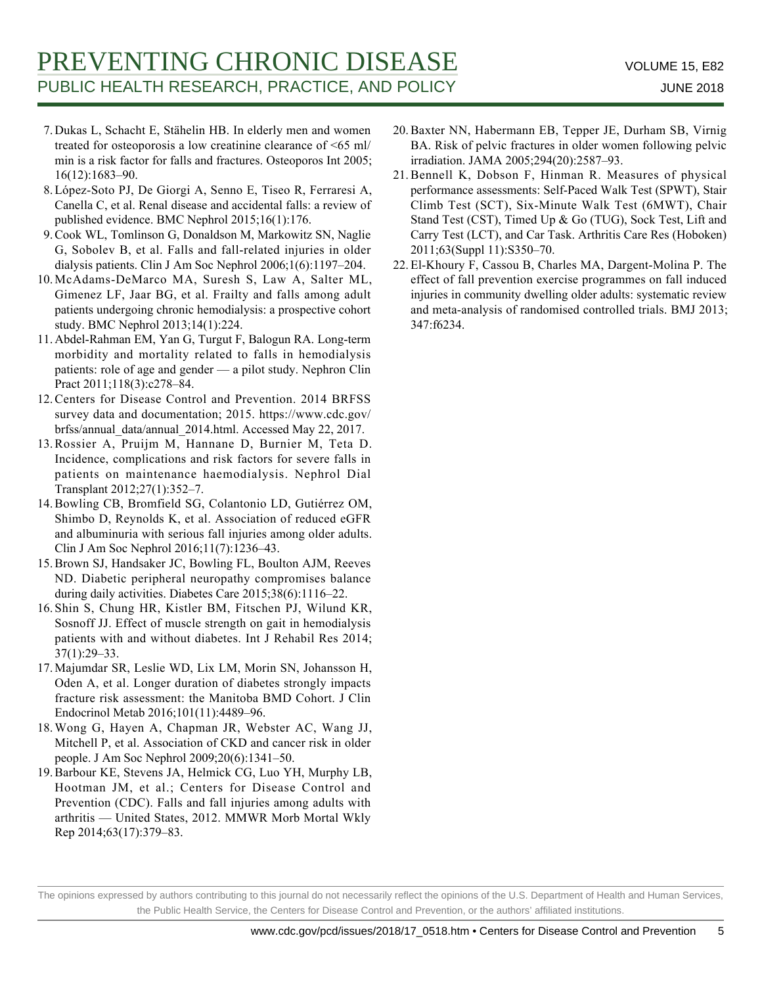- 7. Dukas L, Schacht E, Stähelin HB. In elderly men and women treated for osteoporosis a low creatinine clearance of <65 ml/ min is a risk factor for falls and fractures. Osteoporos Int 2005; 16(12):1683–90.
- 8. López-Soto PJ, De Giorgi A, Senno E, Tiseo R, Ferraresi A, Canella C, et al. Renal disease and accidental falls: a review of published evidence. BMC Nephrol 2015;16(1):176.
- 9. Cook WL, Tomlinson G, Donaldson M, Markowitz SN, Naglie G, Sobolev B, et al. Falls and fall-related injuries in older dialysis patients. Clin J Am Soc Nephrol 2006;1(6):1197–204.
- 10. McAdams-DeMarco MA, Suresh S, Law A, Salter ML, Gimenez LF, Jaar BG, et al. Frailty and falls among adult patients undergoing chronic hemodialysis: a prospective cohort study. BMC Nephrol 2013;14(1):224.
- Abdel-Rahman EM, Yan G, Turgut F, Balogun RA. Long-term 11. morbidity and mortality related to falls in hemodialysis patients: role of age and gender — a pilot study. Nephron Clin Pract 2011;118(3):c278–84.
- 12. Centers for Disease Control and Prevention. 2014 BRFSS survey data and documentation; 2015. https://www.cdc.gov/ brfss/annual\_data/annual\_2014.html. Accessed May 22, 2017.
- 13. Rossier A, Pruijm M, Hannane D, Burnier M, Teta D. Incidence, complications and risk factors for severe falls in patients on maintenance haemodialysis. Nephrol Dial Transplant 2012;27(1):352–7.
- 14. Bowling CB, Bromfield SG, Colantonio LD, Gutiérrez OM, Shimbo D, Reynolds K, et al. Association of reduced eGFR and albuminuria with serious fall injuries among older adults. Clin J Am Soc Nephrol 2016;11(7):1236–43.
- 15. Brown SJ, Handsaker JC, Bowling FL, Boulton AJM, Reeves ND. Diabetic peripheral neuropathy compromises balance during daily activities. Diabetes Care 2015;38(6):1116–22.
- 16. Shin S, Chung HR, Kistler BM, Fitschen PJ, Wilund KR, Sosnoff JJ. Effect of muscle strength on gait in hemodialysis patients with and without diabetes. Int J Rehabil Res 2014; 37(1):29–33.
- 17. Majumdar SR, Leslie WD, Lix LM, Morin SN, Johansson H, Oden A, et al. Longer duration of diabetes strongly impacts fracture risk assessment: the Manitoba BMD Cohort. J Clin Endocrinol Metab 2016;101(11):4489–96.
- 18. Wong G, Hayen A, Chapman JR, Webster AC, Wang JJ, Mitchell P, et al. Association of CKD and cancer risk in older people. J Am Soc Nephrol 2009;20(6):1341–50.
- 19. Barbour KE, Stevens JA, Helmick CG, Luo YH, Murphy LB, Hootman JM, et al.; Centers for Disease Control and Prevention (CDC). Falls and fall injuries among adults with arthritis — United States, 2012. MMWR Morb Mortal Wkly Rep 2014;63(17):379–83.
- 20. Baxter NN, Habermann EB, Tepper JE, Durham SB, Virnig BA. Risk of pelvic fractures in older women following pelvic irradiation. JAMA 2005;294(20):2587–93.
- 21. Bennell K, Dobson F, Hinman R. Measures of physical performance assessments: Self-Paced Walk Test (SPWT), Stair Climb Test (SCT), Six-Minute Walk Test (6MWT), Chair Stand Test (CST), Timed Up & Go (TUG), Sock Test, Lift and Carry Test (LCT), and Car Task. Arthritis Care Res (Hoboken) 2011;63(Suppl 11):S350–70.
- 22. El-Khoury F, Cassou B, Charles MA, Dargent-Molina P. The effect of fall prevention exercise programmes on fall induced injuries in community dwelling older adults: systematic review and meta-analysis of randomised controlled trials. BMJ 2013; 347:f6234.

The opinions expressed by authors contributing to this journal do not necessarily reflect the opinions of the U.S. Department of Health and Human Services, the Public Health Service, the Centers for Disease Control and Prevention, or the authors' affiliated institutions.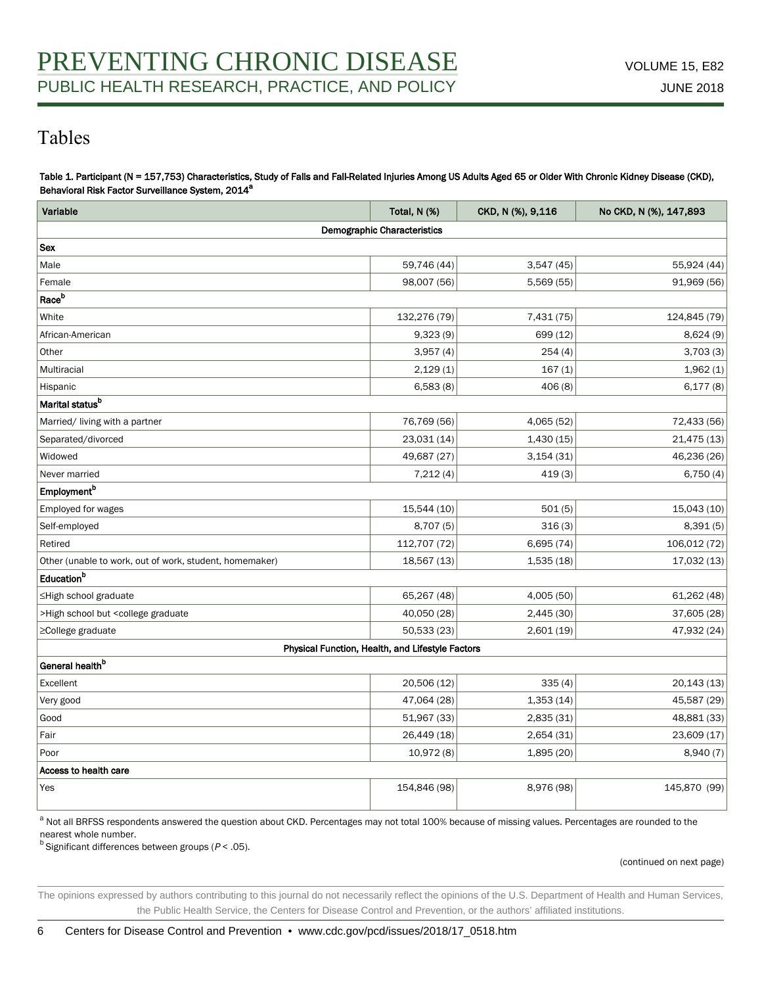## Tables

Table 1. Participant (N = 157,753) Characteristics, Study of Falls and Fall-Related Injuries Among US Adults Aged 65 or Older With Chronic Kidney Disease (CKD), Behavioral Risk Factor Surveillance System, 2014<sup>a</sup>

| Variable                                                                                                           | Total, N (%) | CKD, N (%), 9,116 | No CKD, N (%), 147,893 |  |  |
|--------------------------------------------------------------------------------------------------------------------|--------------|-------------------|------------------------|--|--|
| <b>Demographic Characteristics</b>                                                                                 |              |                   |                        |  |  |
| Sex                                                                                                                |              |                   |                        |  |  |
| Male                                                                                                               | 59,746 (44)  | 3,547(45)         | 55,924 (44)            |  |  |
| Female                                                                                                             | 98,007 (56)  | 5,569 (55)        | 91,969 (56)            |  |  |
| $Race^b$                                                                                                           |              |                   |                        |  |  |
| White                                                                                                              | 132,276 (79) | 7,431 (75)        | 124,845 (79)           |  |  |
| African-American                                                                                                   | 9,323(9)     | 699 (12)          | 8,624(9)               |  |  |
| Other                                                                                                              | 3,957(4)     | 254(4)            | 3,703(3)               |  |  |
| Multiracial                                                                                                        | 2,129(1)     | 167(1)            | 1,962(1)               |  |  |
| Hispanic                                                                                                           | 6,583(8)     | 406(8)            | 6,177(8)               |  |  |
| Marital status <sup>b</sup>                                                                                        |              |                   |                        |  |  |
| Married/ living with a partner                                                                                     | 76,769 (56)  | 4,065 (52)        | 72,433 (56)            |  |  |
| Separated/divorced                                                                                                 | 23,031 (14)  | 1,430(15)         | 21,475 (13)            |  |  |
| Widowed                                                                                                            | 49,687 (27)  | 3,154(31)         | 46,236 (26)            |  |  |
| Never married                                                                                                      | 7,212(4)     | 419(3)            | 6,750(4)               |  |  |
| Employment <sup>b</sup>                                                                                            |              |                   |                        |  |  |
| Employed for wages                                                                                                 | 15,544 (10)  | 501(5)            | 15,043 (10)            |  |  |
| Self-employed                                                                                                      | 8,707(5)     | 316(3)            | 8,391(5)               |  |  |
| Retired                                                                                                            | 112,707 (72) | 6,695(74)         | 106,012 (72)           |  |  |
| Other (unable to work, out of work, student, homemaker)                                                            | 18,567 (13)  | 1,535(18)         | 17,032 (13)            |  |  |
| Education <sup>b</sup>                                                                                             |              |                   |                        |  |  |
| ≤High school graduate                                                                                              | 65,267 (48)  | 4,005 (50)        | 61,262(48)             |  |  |
| >High school but <college graduate<="" td=""><td>40,050 (28)</td><td>2,445 (30)</td><td>37,605 (28)</td></college> | 40,050 (28)  | 2,445 (30)        | 37,605 (28)            |  |  |
| ≥College graduate                                                                                                  | 50,533 (23)  | 2,601(19)         | 47,932 (24)            |  |  |
| Physical Function, Health, and Lifestyle Factors                                                                   |              |                   |                        |  |  |
| General health <sup>b</sup>                                                                                        |              |                   |                        |  |  |
| Excellent                                                                                                          | 20,506 (12)  | 335(4)            | 20,143(13)             |  |  |
| Very good                                                                                                          | 47,064 (28)  | 1,353(14)         | 45,587 (29)            |  |  |
| Good                                                                                                               | 51,967 (33)  | 2,835(31)         | 48,881 (33)            |  |  |
| Fair                                                                                                               | 26,449 (18)  | 2,654(31)         | 23,609 (17)            |  |  |
| Poor                                                                                                               | 10,972 (8)   | 1,895 (20)        | 8,940(7)               |  |  |
| Access to health care                                                                                              |              |                   |                        |  |  |
| Yes                                                                                                                | 154,846 (98) | 8,976 (98)        | 145,870 (99)           |  |  |

<sup>a</sup> Not all BRFSS respondents answered the question about CKD. Percentages may not total 100% because of missing values. Percentages are rounded to the nearest whole number.

 $^{\text{b}}$  Significant differences between groups ( $P$  < .05).

(continued on next page)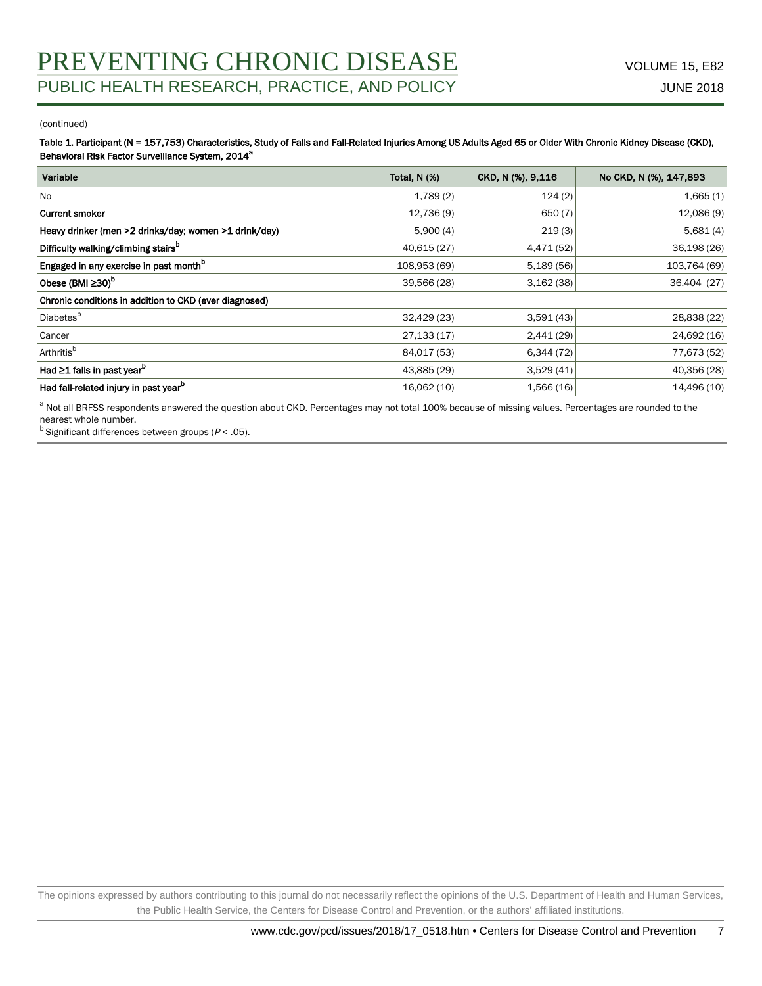#### (continued)

Table 1. Participant (N = 157,753) Characteristics, Study of Falls and Fall-Related Injuries Among US Adults Aged 65 or Older With Chronic Kidney Disease (CKD), Behavioral Risk Factor Surveillance System, 2014<sup>a</sup>

| Variable                                               | Total, N (%) | CKD, N (%), 9,116 | No CKD, N (%), 147,893 |
|--------------------------------------------------------|--------------|-------------------|------------------------|
| No                                                     | 1,789(2)     | 124(2)            | 1,665(1)               |
| <b>Current smoker</b>                                  | 12,736 (9)   | 650(7)            | 12,086 (9)             |
| Heavy drinker (men >2 drinks/day; women >1 drink/day)  | 5,900(4)     | 219(3)            | 5,681(4)               |
| Difficulty walking/climbing stairs <sup>b</sup>        | 40,615 (27)  | 4,471 (52)        | 36,198 (26)            |
| Engaged in any exercise in past month <sup>b</sup>     | 108,953 (69) | 5,189(56)         | 103,764 (69)           |
| Obese (BMI $\geq 30$ ) <sup>b</sup>                    | 39,566 (28)  | 3,162(38)         | 36,404 (27)            |
| Chronic conditions in addition to CKD (ever diagnosed) |              |                   |                        |
| Diabetes <sup>b</sup>                                  | 32,429 (23)  | 3,591(43)         | 28,838 (22)            |
| Cancer                                                 | 27,133 (17)  | 2,441 (29)        | 24,692 (16)            |
| Arthritisb                                             | 84,017 (53)  | 6,344(72)         | 77,673 (52)            |
| Had ≥1 falls in past year <sup>b</sup>                 | 43,885 (29)  | 3,529(41)         | 40,356 (28)            |
| Had fall-related injury in past year <sup>D</sup>      | 16,062 (10)  | 1,566(16)         | 14,496 (10)            |

<sup>a</sup> Not all BRFSS respondents answered the question about CKD. Percentages may not total 100% because of missing values. Percentages are rounded to the nearest whole number.

 $<sup>b</sup>$  Significant differences between groups ( $P < .05$ ).</sup>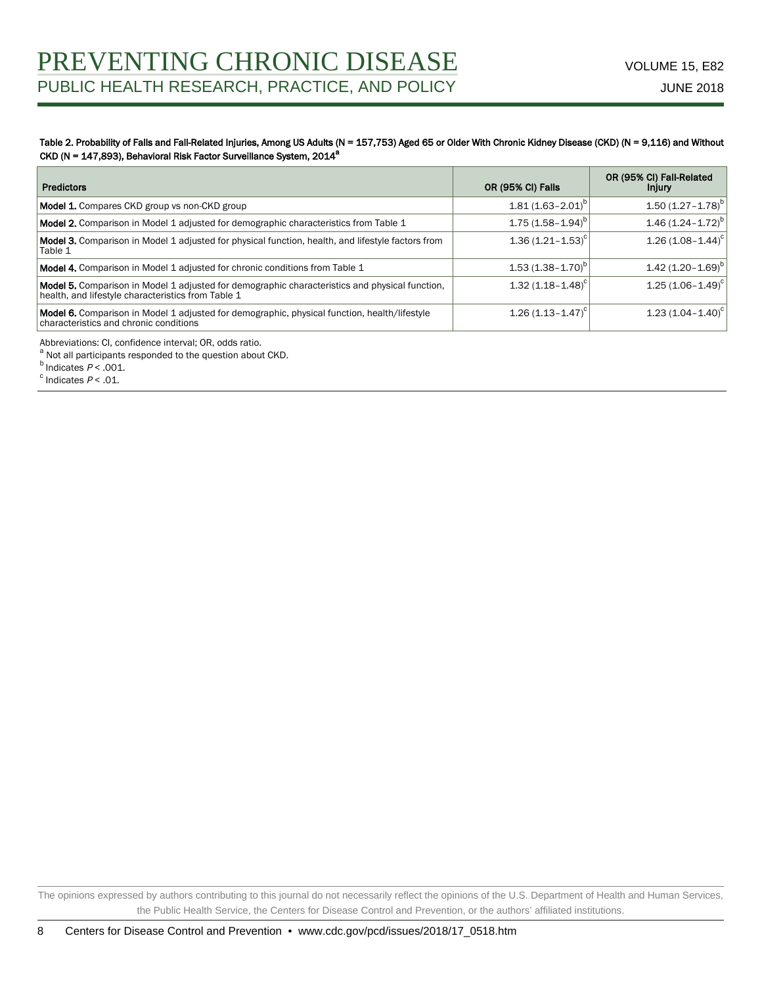#### Table 2. Probability of Falls and Fall-Related Injuries, Among US Adults (N = 157,753) Aged 65 or Older With Chronic Kidney Disease (CKD) (N = 9,116) and Without CKD (N = 147,893), Behavioral Risk Factor Surveillance System, 2014<sup>a</sup>

| <b>Predictors</b>                                                                                                                                    | OR (95% CI) Falls       | OR (95% CI) Fall-Related<br><b>Injury</b> |
|------------------------------------------------------------------------------------------------------------------------------------------------------|-------------------------|-------------------------------------------|
| <b>Model 1.</b> Compares CKD group vs non-CKD group                                                                                                  | $1.81(1.63 - 2.01)^{p}$ | 1.50 $(1.27 - 1.78)^{b}$                  |
| Model 2. Comparison in Model 1 adjusted for demographic characteristics from Table 1                                                                 | $1.75(1.58 - 1.94)^b$   | 1.46 $(1.24 - 1.72)^b$                    |
| Model 3. Comparison in Model 1 adjusted for physical function, health, and lifestyle factors from<br>Table 1                                         | $1.36(1.21 - 1.53)^c$   | $1.26(1.08 - 1.44)^{c}$                   |
| Model 4. Comparison in Model 1 adjusted for chronic conditions from Table 1                                                                          | $1.53(1.38 - 1.70)^{D}$ | 1.42 $(1.20 - 1.69)^{b}$                  |
| Model 5. Comparison in Model 1 adjusted for demographic characteristics and physical function,<br>health, and lifestyle characteristics from Table 1 | $1.32(1.18 - 1.48)^c$   | $1.25(1.06 - 1.49)^c$                     |
| Model 6. Comparison in Model 1 adjusted for demographic, physical function, health/lifestyle<br>characteristics and chronic conditions               | $1.26(1.13 - 1.47)^c$   | 1.23 $(1.04 - 1.40)^{c}$                  |

Abbreviations: CI, confidence interval; OR, odds ratio.

<sup>a</sup> Not all participants responded to the question about CKD.

 $<sup>b</sup>$  Indicates  $P < .001$ .</sup>

 $\textdegree$  Indicates  $P < .01$ .